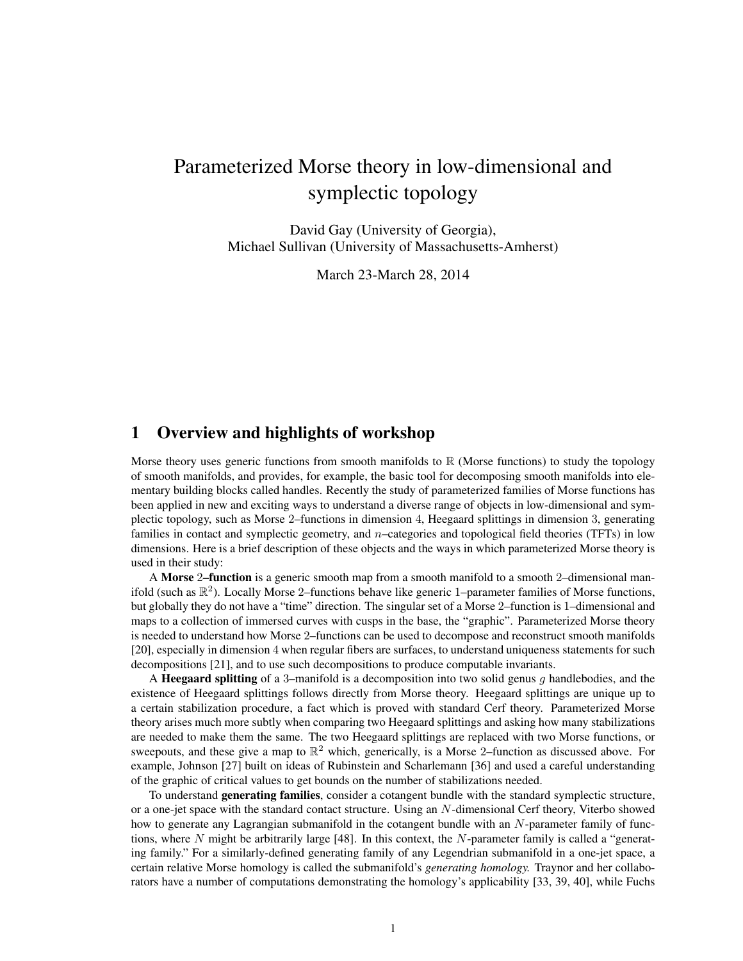# Parameterized Morse theory in low-dimensional and symplectic topology

David Gay (University of Georgia), Michael Sullivan (University of Massachusetts-Amherst)

March 23-March 28, 2014

# 1 Overview and highlights of workshop

Morse theory uses generic functions from smooth manifolds to  $\mathbb R$  (Morse functions) to study the topology of smooth manifolds, and provides, for example, the basic tool for decomposing smooth manifolds into elementary building blocks called handles. Recently the study of parameterized families of Morse functions has been applied in new and exciting ways to understand a diverse range of objects in low-dimensional and symplectic topology, such as Morse 2–functions in dimension 4, Heegaard splittings in dimension 3, generating families in contact and symplectic geometry, and  $n$ –categories and topological field theories (TFTs) in low dimensions. Here is a brief description of these objects and the ways in which parameterized Morse theory is used in their study:

A Morse 2–function is a generic smooth map from a smooth manifold to a smooth 2–dimensional manifold (such as  $\mathbb{R}^2$ ). Locally Morse 2–functions behave like generic 1–parameter families of Morse functions, but globally they do not have a "time" direction. The singular set of a Morse 2–function is 1–dimensional and maps to a collection of immersed curves with cusps in the base, the "graphic". Parameterized Morse theory is needed to understand how Morse 2–functions can be used to decompose and reconstruct smooth manifolds [20], especially in dimension 4 when regular fibers are surfaces, to understand uniqueness statements for such decompositions [21], and to use such decompositions to produce computable invariants.

A **Heegaard splitting** of a 3–manifold is a decomposition into two solid genus g handlebodies, and the existence of Heegaard splittings follows directly from Morse theory. Heegaard splittings are unique up to a certain stabilization procedure, a fact which is proved with standard Cerf theory. Parameterized Morse theory arises much more subtly when comparing two Heegaard splittings and asking how many stabilizations are needed to make them the same. The two Heegaard splittings are replaced with two Morse functions, or sweepouts, and these give a map to  $\mathbb{R}^2$  which, generically, is a Morse 2–function as discussed above. For example, Johnson [27] built on ideas of Rubinstein and Scharlemann [36] and used a careful understanding of the graphic of critical values to get bounds on the number of stabilizations needed.

To understand generating families, consider a cotangent bundle with the standard symplectic structure, or a one-jet space with the standard contact structure. Using an N-dimensional Cerf theory, Viterbo showed how to generate any Lagrangian submanifold in the cotangent bundle with an N-parameter family of functions, where N might be arbitrarily large [48]. In this context, the N-parameter family is called a "generating family." For a similarly-defined generating family of any Legendrian submanifold in a one-jet space, a certain relative Morse homology is called the submanifold's *generating homology.* Traynor and her collaborators have a number of computations demonstrating the homology's applicability [33, 39, 40], while Fuchs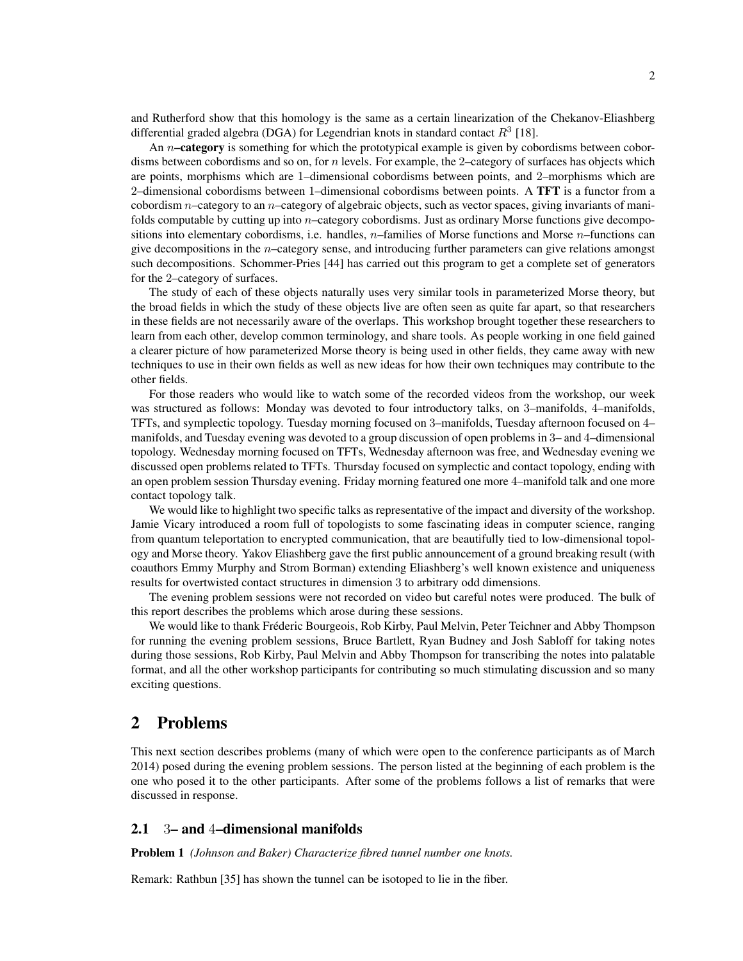and Rutherford show that this homology is the same as a certain linearization of the Chekanov-Eliashberg differential graded algebra (DGA) for Legendrian knots in standard contact  $R^3$  [18].

An  $n$ –category is something for which the prototypical example is given by cobordisms between cobordisms between cobordisms and so on, for n levels. For example, the 2-category of surfaces has objects which are points, morphisms which are 1–dimensional cobordisms between points, and 2–morphisms which are 2–dimensional cobordisms between 1–dimensional cobordisms between points. A TFT is a functor from a cobordism *n*–category to an *n*–category of algebraic objects, such as vector spaces, giving invariants of manifolds computable by cutting up into *n*–category cobordisms. Just as ordinary Morse functions give decompositions into elementary cobordisms, i.e. handles,  $n$ –families of Morse functions and Morse  $n$ –functions can give decompositions in the  $n$ –category sense, and introducing further parameters can give relations amongst such decompositions. Schommer-Pries [44] has carried out this program to get a complete set of generators for the 2–category of surfaces.

The study of each of these objects naturally uses very similar tools in parameterized Morse theory, but the broad fields in which the study of these objects live are often seen as quite far apart, so that researchers in these fields are not necessarily aware of the overlaps. This workshop brought together these researchers to learn from each other, develop common terminology, and share tools. As people working in one field gained a clearer picture of how parameterized Morse theory is being used in other fields, they came away with new techniques to use in their own fields as well as new ideas for how their own techniques may contribute to the other fields.

For those readers who would like to watch some of the recorded videos from the workshop, our week was structured as follows: Monday was devoted to four introductory talks, on 3–manifolds, 4–manifolds, TFTs, and symplectic topology. Tuesday morning focused on 3–manifolds, Tuesday afternoon focused on 4– manifolds, and Tuesday evening was devoted to a group discussion of open problems in 3– and 4–dimensional topology. Wednesday morning focused on TFTs, Wednesday afternoon was free, and Wednesday evening we discussed open problems related to TFTs. Thursday focused on symplectic and contact topology, ending with an open problem session Thursday evening. Friday morning featured one more 4–manifold talk and one more contact topology talk.

We would like to highlight two specific talks as representative of the impact and diversity of the workshop. Jamie Vicary introduced a room full of topologists to some fascinating ideas in computer science, ranging from quantum teleportation to encrypted communication, that are beautifully tied to low-dimensional topology and Morse theory. Yakov Eliashberg gave the first public announcement of a ground breaking result (with coauthors Emmy Murphy and Strom Borman) extending Eliashberg's well known existence and uniqueness results for overtwisted contact structures in dimension 3 to arbitrary odd dimensions.

The evening problem sessions were not recorded on video but careful notes were produced. The bulk of this report describes the problems which arose during these sessions.

We would like to thank Frederic Bourgeois, Rob Kirby, Paul Melvin, Peter Teichner and Abby Thompson ´ for running the evening problem sessions, Bruce Bartlett, Ryan Budney and Josh Sabloff for taking notes during those sessions, Rob Kirby, Paul Melvin and Abby Thompson for transcribing the notes into palatable format, and all the other workshop participants for contributing so much stimulating discussion and so many exciting questions.

# 2 Problems

This next section describes problems (many of which were open to the conference participants as of March 2014) posed during the evening problem sessions. The person listed at the beginning of each problem is the one who posed it to the other participants. After some of the problems follows a list of remarks that were discussed in response.

### 2.1 3– and 4–dimensional manifolds

Problem 1 *(Johnson and Baker) Characterize fibred tunnel number one knots.*

Remark: Rathbun [35] has shown the tunnel can be isotoped to lie in the fiber.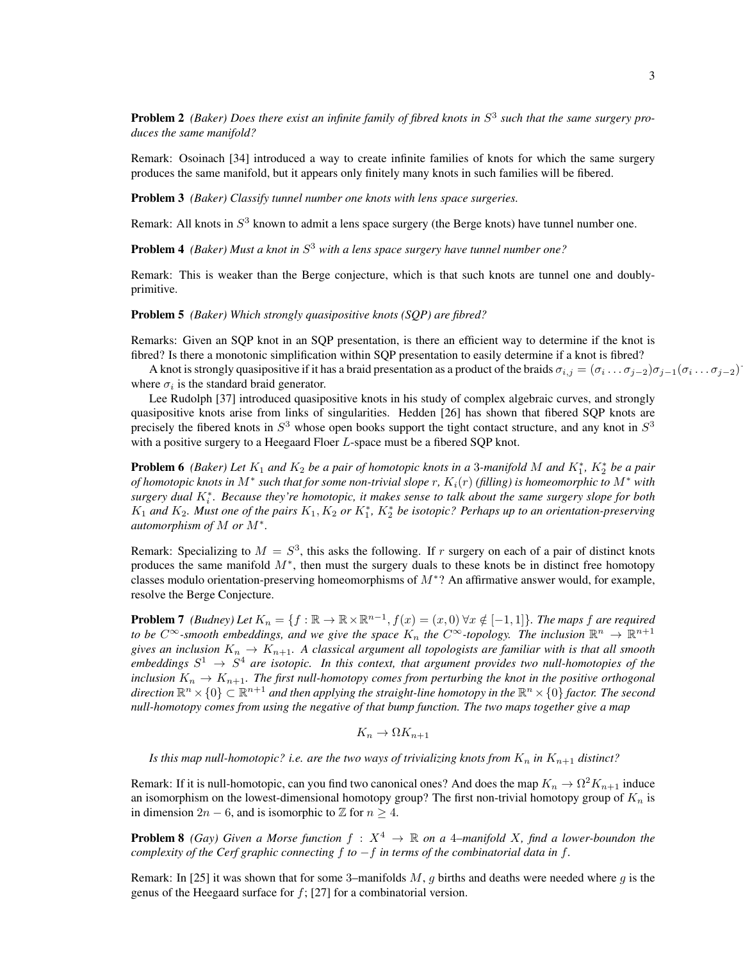**Problem 2** (Baker) Does there exist an infinite family of fibred knots in  $S^3$  such that the same surgery pro*duces the same manifold?*

Remark: Osoinach [34] introduced a way to create infinite families of knots for which the same surgery produces the same manifold, but it appears only finitely many knots in such families will be fibered.

Problem 3 *(Baker) Classify tunnel number one knots with lens space surgeries.*

Remark: All knots in  $S^3$  known to admit a lens space surgery (the Berge knots) have tunnel number one.

Problem 4 *(Baker) Must a knot in*  $S^3$  with a lens space surgery have tunnel number one?

Remark: This is weaker than the Berge conjecture, which is that such knots are tunnel one and doublyprimitive.

Problem 5 *(Baker) Which strongly quasipositive knots (SQP) are fibred?*

Remarks: Given an SQP knot in an SQP presentation, is there an efficient way to determine if the knot is fibred? Is there a monotonic simplification within SQP presentation to easily determine if a knot is fibred?

A knot is strongly quasipositive if it has a braid presentation as a product of the braids  $\sigma_{i,j} = (\sigma_i \dots \sigma_{j-2}) \sigma_{j-1} (\sigma_i \dots \sigma_{j-2})$ where  $\sigma_i$  is the standard braid generator.

Lee Rudolph [37] introduced quasipositive knots in his study of complex algebraic curves, and strongly quasipositive knots arise from links of singularities. Hedden [26] has shown that fibered SQP knots are precisely the fibered knots in  $S<sup>3</sup>$  whose open books support the tight contact structure, and any knot in  $S<sup>3</sup>$ with a positive surgery to a Heegaard Floer L-space must be a fibered SQP knot.

**Problem 6** (Baker) Let  $K_1$  and  $K_2$  be a pair of homotopic knots in a 3-manifold M and  $K_1^*$ ,  $K_2^*$  be a pair *of homotopic knots in* M<sup>∗</sup> *such that for some non-trivial slope* r*,* Ki(r) *(filling) is homeomorphic to* M<sup>∗</sup> *with surgery dual* K<sup>∗</sup> i *. Because they're homotopic, it makes sense to talk about the same surgery slope for both*  $K_1$  and  $K_2$ . Must one of the pairs  $K_1, K_2$  or  $K_1^*$ ,  $K_2^*$  be isotopic? Perhaps up to an orientation-preserving *automorphism of* M *or* M<sup>∗</sup> *.*

Remark: Specializing to  $M = S<sup>3</sup>$ , this asks the following. If r surgery on each of a pair of distinct knots produces the same manifold  $M^*$ , then must the surgery duals to these knots be in distinct free homotopy classes modulo orientation-preserving homeomorphisms of  $M^*$ ? An affirmative answer would, for example, resolve the Berge Conjecture.

**Problem 7** (Budney) Let  $K_n = \{f : \mathbb{R} \to \mathbb{R} \times \mathbb{R}^{n-1}, f(x) = (x, 0) \forall x \notin [-1, 1]\}$ . The maps f are required to be  $C^{\infty}$ -smooth embeddings, and we give the space  $K_n$  the  $C^{\infty}$ -topology. The inclusion  $\mathbb{R}^n \to \mathbb{R}^{n+1}$ *gives an inclusion*  $K_n \to K_{n+1}$ . A classical argument all topologists are familiar with is that all smooth embeddings  $S^1 \to S^4$  are isotopic. In this context, that argument provides two null-homotopies of the *inclusion*  $K_n \to K_{n+1}$ . The first null-homotopy comes from perturbing the knot in the positive orthogonal direction  $\mathbb{R}^n \times \{0\} \subset \mathbb{R}^{n+1}$  and then applying the straight-line homotopy in the  $\mathbb{R}^n \times \{0\}$  factor. The second *null-homotopy comes from using the negative of that bump function. The two maps together give a map*

$$
K_n \to \Omega K_{n+1}
$$

*Is this map null-homotopic? i.e. are the two ways of trivializing knots from*  $K_n$  *in*  $K_{n+1}$  *distinct?* 

Remark: If it is null-homotopic, can you find two canonical ones? And does the map  $K_n \to \Omega^2 K_{n+1}$  induce an isomorphism on the lowest-dimensional homotopy group? The first non-trivial homotopy group of  $K_n$  is in dimension  $2n - 6$ , and is isomorphic to  $\mathbb{Z}$  for  $n \geq 4$ .

**Problem 8** *(Gay)* Given a Morse function  $f : X^4 \to \mathbb{R}$  on a 4-manifold X, find a lower-boundon the *complexity of the Cerf graphic connecting* f *to* −f *in terms of the combinatorial data in* f*.*

Remark: In [25] it was shown that for some 3–manifolds  $M$ , g births and deaths were needed where g is the genus of the Heegaard surface for  $f$ ; [27] for a combinatorial version.

−1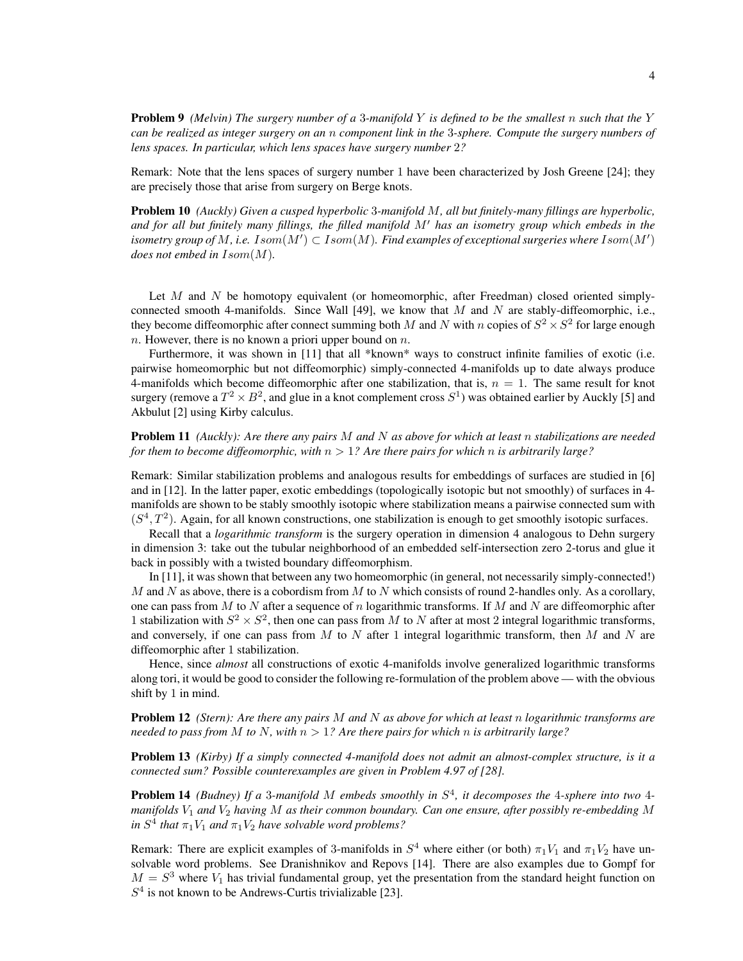Problem 9 *(Melvin) The surgery number of a* 3*-manifold* Y *is defined to be the smallest* n *such that the* Y *can be realized as integer surgery on an* n *component link in the* 3*-sphere. Compute the surgery numbers of lens spaces. In particular, which lens spaces have surgery number* 2*?*

Remark: Note that the lens spaces of surgery number 1 have been characterized by Josh Greene [24]; they are precisely those that arise from surgery on Berge knots.

Problem 10 *(Auckly) Given a cusped hyperbolic* 3*-manifold* M*, all but finitely-many fillings are hyperbolic,* and for all but finitely many fillings, the filled manifold M' has an isometry group which embeds in the isometry group of M, i.e.  $Isom(M') \subset Isom(M)$ . Find examples of exceptional surgeries where  $Isom(M')$ *does not embed in* Isom(M)*.*

Let  $M$  and  $N$  be homotopy equivalent (or homeomorphic, after Freedman) closed oriented simplyconnected smooth 4-manifolds. Since Wall [49], we know that  $M$  and  $N$  are stably-diffeomorphic, i.e., they become diffeomorphic after connect summing both M and N with n copies of  $S^2 \times S^2$  for large enough n. However, there is no known a priori upper bound on  $n$ .

Furthermore, it was shown in [11] that all \*known\* ways to construct infinite families of exotic (i.e. pairwise homeomorphic but not diffeomorphic) simply-connected 4-manifolds up to date always produce 4-manifolds which become diffeomorphic after one stabilization, that is,  $n = 1$ . The same result for knot surgery (remove a  $T^2 \times B^2$ , and glue in a knot complement cross  $S^1$ ) was obtained earlier by Auckly [5] and Akbulut [2] using Kirby calculus.

Problem 11 *(Auckly): Are there any pairs* M *and* N *as above for which at least* n *stabilizations are needed for them to become diffeomorphic, with* n > 1*? Are there pairs for which* n *is arbitrarily large?*

Remark: Similar stabilization problems and analogous results for embeddings of surfaces are studied in [6] and in [12]. In the latter paper, exotic embeddings (topologically isotopic but not smoothly) of surfaces in 4 manifolds are shown to be stably smoothly isotopic where stabilization means a pairwise connected sum with  $(S<sup>4</sup>, T<sup>2</sup>)$ . Again, for all known constructions, one stabilization is enough to get smoothly isotopic surfaces.

Recall that a *logarithmic transform* is the surgery operation in dimension 4 analogous to Dehn surgery in dimension 3: take out the tubular neighborhood of an embedded self-intersection zero 2-torus and glue it back in possibly with a twisted boundary diffeomorphism.

In [11], it was shown that between any two homeomorphic (in general, not necessarily simply-connected!) M and N as above, there is a cobordism from M to N which consists of round 2-handles only. As a corollary, one can pass from M to N after a sequence of n logarithmic transforms. If M and N are diffeomorphic after 1 stabilization with  $S^2 \times S^2$ , then one can pass from M to N after at most 2 integral logarithmic transforms, and conversely, if one can pass from  $M$  to  $N$  after 1 integral logarithmic transform, then  $M$  and  $N$  are diffeomorphic after 1 stabilization.

Hence, since *almost* all constructions of exotic 4-manifolds involve generalized logarithmic transforms along tori, it would be good to consider the following re-formulation of the problem above — with the obvious shift by 1 in mind.

Problem 12 *(Stern): Are there any pairs* M *and* N *as above for which at least* n *logarithmic transforms are needed to pass from* M *to* N*, with* n > 1*? Are there pairs for which* n *is arbitrarily large?*

Problem 13 *(Kirby) If a simply connected 4-manifold does not admit an almost-complex structure, is it a connected sum? Possible counterexamples are given in Problem 4.97 of [28].*

Problem 14 *(Budney)* If a 3-manifold M embeds smoothly in  $S<sup>4</sup>$ , it decomposes the 4-sphere into two 4*manifolds*  $V_1$  *and*  $V_2$  *having* M *as their common boundary. Can one ensure, after possibly re-embedding* M *in*  $S^4$  *that*  $\pi_1 V_1$  *and*  $\pi_1 V_2$  *have solvable word problems?* 

Remark: There are explicit examples of 3-manifolds in  $S^4$  where either (or both)  $\pi_1V_1$  and  $\pi_1V_2$  have unsolvable word problems. See Dranishnikov and Repovs [14]. There are also examples due to Gompf for  $M = S<sup>3</sup>$  where  $V_1$  has trivial fundamental group, yet the presentation from the standard height function on  $S<sup>4</sup>$  is not known to be Andrews-Curtis trivializable [23].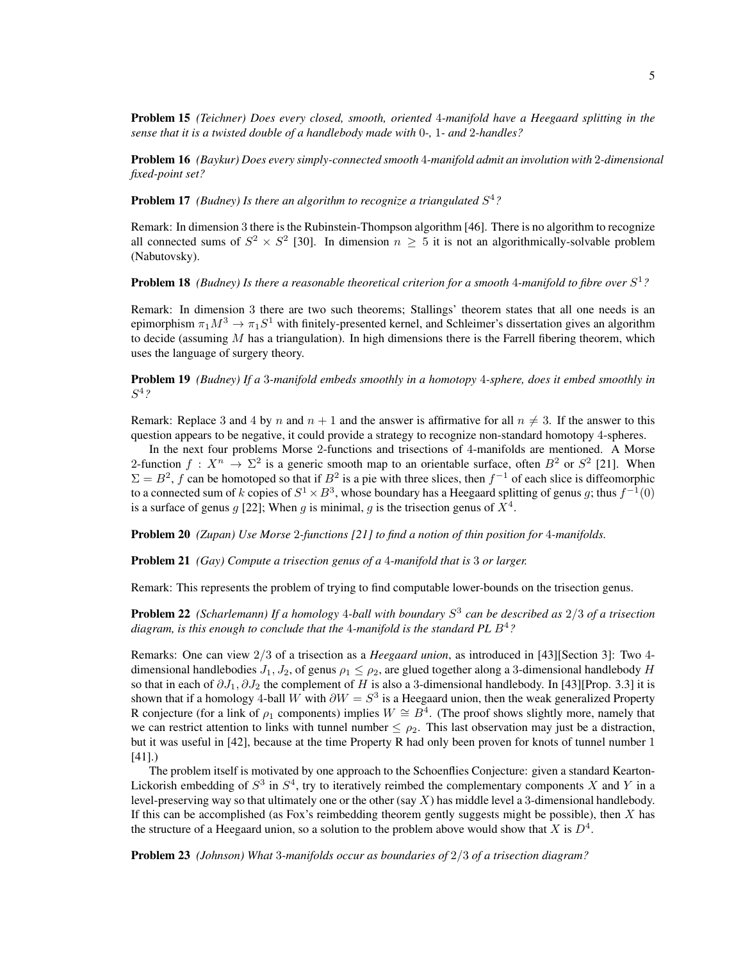Problem 15 *(Teichner) Does every closed, smooth, oriented* 4*-manifold have a Heegaard splitting in the sense that it is a twisted double of a handlebody made with* 0*-,* 1*- and* 2*-handles?*

Problem 16 *(Baykur) Does every simply-connected smooth* 4*-manifold admit an involution with* 2*-dimensional fixed-point set?*

Problem 17 *(Budney) Is there an algorithm to recognize a triangulated*  $S<sup>4</sup>$ ?

Remark: In dimension 3 there is the Rubinstein-Thompson algorithm [46]. There is no algorithm to recognize all connected sums of  $S^2 \times S^2$  [30]. In dimension  $n \geq 5$  it is not an algorithmically-solvable problem (Nabutovsky).

Problem 18 *(Budney) Is there a reasonable theoretical criterion for a smooth 4-manifold to fibre over*  $S^1$ ?

Remark: In dimension 3 there are two such theorems; Stallings' theorem states that all one needs is an epimorphism  $\pi_1 M^3 \to \pi_1 S^1$  with finitely-presented kernel, and Schleimer's dissertation gives an algorithm to decide (assuming  $M$  has a triangulation). In high dimensions there is the Farrell fibering theorem, which uses the language of surgery theory.

Problem 19 *(Budney) If a* 3*-manifold embeds smoothly in a homotopy* 4*-sphere, does it embed smoothly in* S 4*?*

Remark: Replace 3 and 4 by n and  $n + 1$  and the answer is affirmative for all  $n \neq 3$ . If the answer to this question appears to be negative, it could provide a strategy to recognize non-standard homotopy 4-spheres.

In the next four problems Morse 2-functions and trisections of 4-manifolds are mentioned. A Morse 2-function  $f: X^n \to \Sigma^2$  is a generic smooth map to an orientable surface, often  $B^2$  or  $S^2$  [21]. When  $\Sigma = B^2$ , f can be homotoped so that if  $B^2$  is a pie with three slices, then  $f^{-1}$  of each slice is diffeomorphic to a connected sum of k copies of  $S^1 \times B^3$ , whose boundary has a Heegaard splitting of genus g; thus  $f^{-1}(0)$ is a surface of genus g [22]; When g is minimal, g is the trisection genus of  $X^4$ .

Problem 20 *(Zupan) Use Morse* 2*-functions [21] to find a notion of thin position for* 4*-manifolds.*

Problem 21 *(Gay) Compute a trisection genus of a* 4*-manifold that is* 3 *or larger.*

Remark: This represents the problem of trying to find computable lower-bounds on the trisection genus.

Problem 22 *(Scharlemann) If a homology* 4*-ball with boundary* S 3 *can be described as* 2/3 *of a trisection diagram, is this enough to conclude that the* 4*-manifold is the standard PL* B4*?*

Remarks: One can view 2/3 of a trisection as a *Heegaard union*, as introduced in [43][Section 3]: Two 4 dimensional handlebodies  $J_1, J_2$ , of genus  $\rho_1 \leq \rho_2$ , are glued together along a 3-dimensional handlebody H so that in each of  $\partial J_1$ ,  $\partial J_2$  the complement of H is also a 3-dimensional handlebody. In [43][Prop. 3.3] it is shown that if a homology 4-ball W with  $\partial W = S^3$  is a Heegaard union, then the weak generalized Property R conjecture (for a link of  $\rho_1$  components) implies  $W \cong B^4$ . (The proof shows slightly more, namely that we can restrict attention to links with tunnel number  $\leq \rho_2$ . This last observation may just be a distraction, but it was useful in [42], because at the time Property R had only been proven for knots of tunnel number 1 [41].)

The problem itself is motivated by one approach to the Schoenflies Conjecture: given a standard Kearton-Lickorish embedding of  $S^3$  in  $S^4$ , try to iteratively reimbed the complementary components X and Y in a level-preserving way so that ultimately one or the other (say  $X$ ) has middle level a 3-dimensional handlebody. If this can be accomplished (as Fox's reimbedding theorem gently suggests might be possible), then  $X$  has the structure of a Heegaard union, so a solution to the problem above would show that X is  $D^4$ .

Problem 23 *(Johnson) What* 3*-manifolds occur as boundaries of* 2/3 *of a trisection diagram?*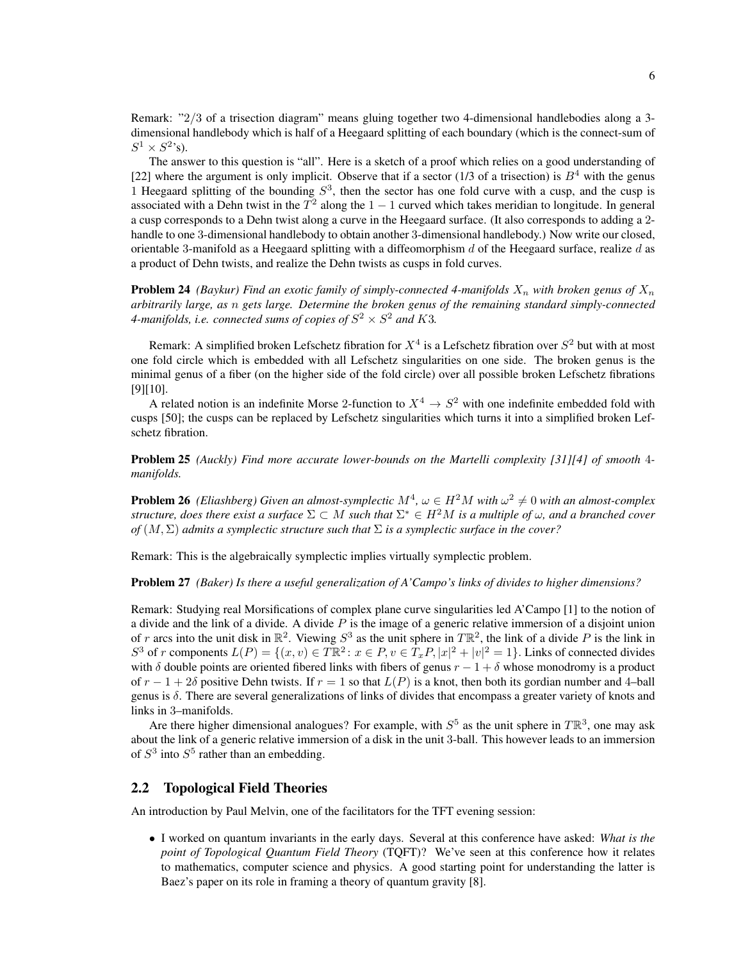Remark: "2/3 of a trisection diagram" means gluing together two 4-dimensional handlebodies along a 3 dimensional handlebody which is half of a Heegaard splitting of each boundary (which is the connect-sum of  $S^1 \times S^2$ 's).

The answer to this question is "all". Here is a sketch of a proof which relies on a good understanding of [22] where the argument is only implicit. Observe that if a sector (1/3 of a trisection) is  $B<sup>4</sup>$  with the genus 1 Heegaard splitting of the bounding  $S<sup>3</sup>$ , then the sector has one fold curve with a cusp, and the cusp is associated with a Dehn twist in the  $T^2$  along the  $1 - 1$  curved which takes meridian to longitude. In general a cusp corresponds to a Dehn twist along a curve in the Heegaard surface. (It also corresponds to adding a 2 handle to one 3-dimensional handlebody to obtain another 3-dimensional handlebody.) Now write our closed, orientable 3-manifold as a Heegaard splitting with a diffeomorphism d of the Heegaard surface, realize d as a product of Dehn twists, and realize the Dehn twists as cusps in fold curves.

**Problem 24** *(Baykur) Find an exotic family of simply-connected 4-manifolds*  $X_n$  *with broken genus of*  $X_n$ *arbitrarily large, as* n *gets large. Determine the broken genus of the remaining standard simply-connected* 4-manifolds, i.e. connected sums of copies of  $S^2 \times S^2$  and K3.

Remark: A simplified broken Lefschetz fibration for  $X^4$  is a Lefschetz fibration over  $S^2$  but with at most one fold circle which is embedded with all Lefschetz singularities on one side. The broken genus is the minimal genus of a fiber (on the higher side of the fold circle) over all possible broken Lefschetz fibrations [9][10].

A related notion is an indefinite Morse 2-function to  $X^4 \to S^2$  with one indefinite embedded fold with cusps [50]; the cusps can be replaced by Lefschetz singularities which turns it into a simplified broken Lefschetz fibration.

Problem 25 *(Auckly) Find more accurate lower-bounds on the Martelli complexity [31][4] of smooth* 4 *manifolds.*

**Problem 26** (Eliashberg) Given an almost-symplectic  $M^4$ ,  $\omega \in H^2M$  with  $\omega^2 \neq 0$  with an almost-complex *structure, does there exist a surface* Σ ⊂ M *such that* Σ <sup>∗</sup> ∈ H2M *is a multiple of* ω*, and a branched cover of*  $(M, \Sigma)$  *admits a symplectic structure such that*  $\Sigma$  *is a symplectic surface in the cover?* 

Remark: This is the algebraically symplectic implies virtually symplectic problem.

Problem 27 *(Baker) Is there a useful generalization of A'Campo's links of divides to higher dimensions?*

Remark: Studying real Morsifications of complex plane curve singularities led A'Campo [1] to the notion of a divide and the link of a divide. A divide  $P$  is the image of a generic relative immersion of a disjoint union of r arcs into the unit disk in  $\mathbb{R}^2$ . Viewing  $S^3$  as the unit sphere in  $T\mathbb{R}^2$ , the link of a divide P is the link in S<sup>3</sup> of r components  $L(P) = \{(x, v) \in T\mathbb{R}^2 : x \in P, v \in T_xP, |x|^2 + |v|^2 = 1\}$ . Links of connected divides with  $\delta$  double points are oriented fibered links with fibers of genus  $r - 1 + \delta$  whose monodromy is a product of  $r - 1 + 2\delta$  positive Dehn twists. If  $r = 1$  so that  $L(P)$  is a knot, then both its gordian number and 4–ball genus is  $\delta$ . There are several generalizations of links of divides that encompass a greater variety of knots and links in 3–manifolds.

Are there higher dimensional analogues? For example, with  $S^5$  as the unit sphere in  $T\mathbb{R}^3$ , one may ask about the link of a generic relative immersion of a disk in the unit 3-ball. This however leads to an immersion of  $S^3$  into  $S^5$  rather than an embedding.

### 2.2 Topological Field Theories

An introduction by Paul Melvin, one of the facilitators for the TFT evening session:

• I worked on quantum invariants in the early days. Several at this conference have asked: *What is the point of Topological Quantum Field Theory* (TQFT)? We've seen at this conference how it relates to mathematics, computer science and physics. A good starting point for understanding the latter is Baez's paper on its role in framing a theory of quantum gravity [8].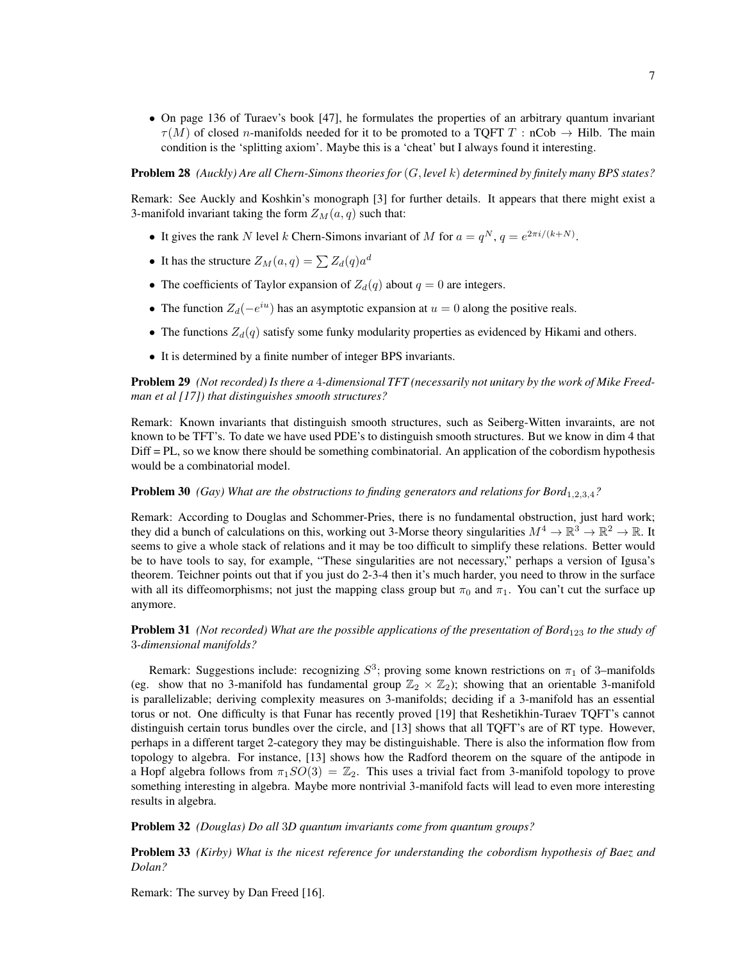• On page 136 of Turaev's book [47], he formulates the properties of an arbitrary quantum invariant  $\tau(M)$  of closed n-manifolds needed for it to be promoted to a TQFT T : nCob  $\rightarrow$  Hilb. The main condition is the 'splitting axiom'. Maybe this is a 'cheat' but I always found it interesting.

Problem 28 *(Auckly) Are all Chern-Simons theories for* (G, *level* k) *determined by finitely many BPS states?*

Remark: See Auckly and Koshkin's monograph [3] for further details. It appears that there might exist a 3-manifold invariant taking the form  $Z_M(a, q)$  such that:

- It gives the rank N level k Chern-Simons invariant of M for  $a = q^N$ ,  $q = e^{2\pi i/(k+N)}$ .
- It has the structure  $Z_M(a,q) = \sum Z_d(q) a^d$
- The coefficients of Taylor expansion of  $Z_d(q)$  about  $q = 0$  are integers.
- The function  $Z_d(-e^{iu})$  has an asymptotic expansion at  $u = 0$  along the positive reals.
- The functions  $Z_d(q)$  satisfy some funky modularity properties as evidenced by Hikami and others.
- It is determined by a finite number of integer BPS invariants.

Problem 29 *(Not recorded) Is there a* 4*-dimensional TFT (necessarily not unitary by the work of Mike Freedman et al [17]) that distinguishes smooth structures?*

Remark: Known invariants that distinguish smooth structures, such as Seiberg-Witten invaraints, are not known to be TFT's. To date we have used PDE's to distinguish smooth structures. But we know in dim 4 that Diff = PL, so we know there should be something combinatorial. An application of the cobordism hypothesis would be a combinatorial model.

#### Problem 30 *(Gay) What are the obstructions to finding generators and relations for Bord*<sub>1,2,3,4</sub>*?*

Remark: According to Douglas and Schommer-Pries, there is no fundamental obstruction, just hard work; they did a bunch of calculations on this, working out 3-Morse theory singularities  $M^4 \to \mathbb{R}^3 \to \mathbb{R}^2 \to \mathbb{R}$ . It seems to give a whole stack of relations and it may be too difficult to simplify these relations. Better would be to have tools to say, for example, "These singularities are not necessary," perhaps a version of Igusa's theorem. Teichner points out that if you just do 2-3-4 then it's much harder, you need to throw in the surface with all its diffeomorphisms; not just the mapping class group but  $\pi_0$  and  $\pi_1$ . You can't cut the surface up anymore.

**Problem 31** *(Not recorded) What are the possible applications of the presentation of Bord*<sub>123</sub> *to the study of* 3*-dimensional manifolds?*

Remark: Suggestions include: recognizing  $S^3$ ; proving some known restrictions on  $\pi_1$  of 3-manifolds (eg. show that no 3-manifold has fundamental group  $\mathbb{Z}_2 \times \mathbb{Z}_2$ ); showing that an orientable 3-manifold is parallelizable; deriving complexity measures on 3-manifolds; deciding if a 3-manifold has an essential torus or not. One difficulty is that Funar has recently proved [19] that Reshetikhin-Turaev TQFT's cannot distinguish certain torus bundles over the circle, and [13] shows that all TQFT's are of RT type. However, perhaps in a different target 2-category they may be distinguishable. There is also the information flow from topology to algebra. For instance, [13] shows how the Radford theorem on the square of the antipode in a Hopf algebra follows from  $\pi_1SO(3) = \mathbb{Z}_2$ . This uses a trivial fact from 3-manifold topology to prove something interesting in algebra. Maybe more nontrivial 3-manifold facts will lead to even more interesting results in algebra.

Problem 32 *(Douglas) Do all* 3*D quantum invariants come from quantum groups?*

Problem 33 *(Kirby) What is the nicest reference for understanding the cobordism hypothesis of Baez and Dolan?*

Remark: The survey by Dan Freed [16].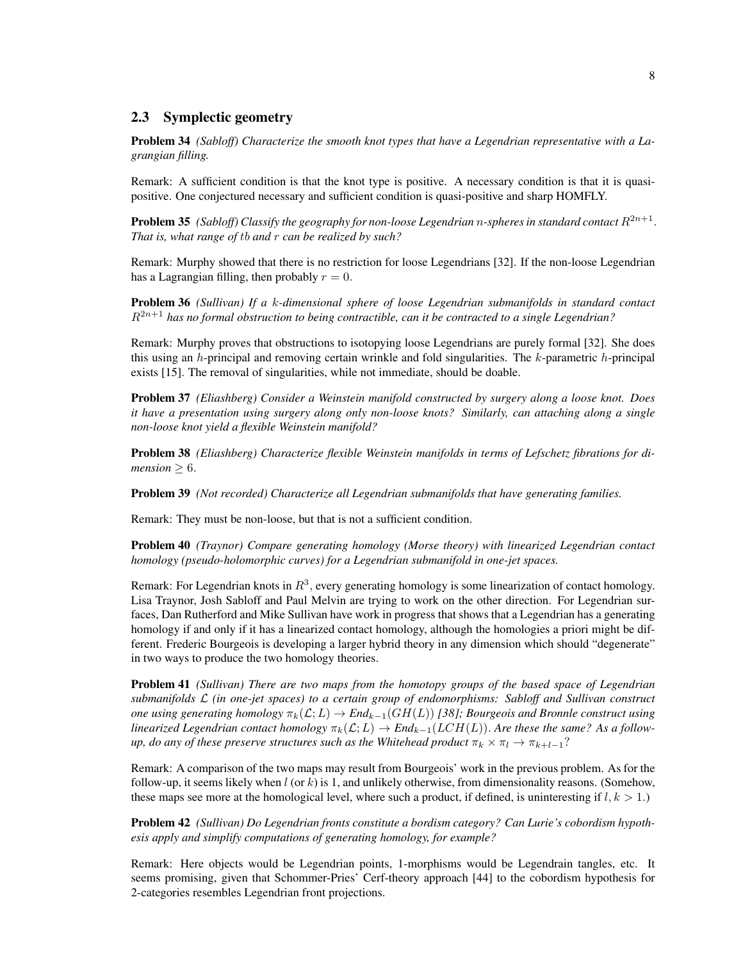### 2.3 Symplectic geometry

Problem 34 *(Sabloff) Characterize the smooth knot types that have a Legendrian representative with a Lagrangian filling.*

Remark: A sufficient condition is that the knot type is positive. A necessary condition is that it is quasipositive. One conjectured necessary and sufficient condition is quasi-positive and sharp HOMFLY.

**Problem 35** (Sabloff) Classify the geography for non-loose Legendrian n-spheres in standard contact  $R^{2n+1}$ . *That is, what range of* tb *and* r *can be realized by such?*

Remark: Murphy showed that there is no restriction for loose Legendrians [32]. If the non-loose Legendrian has a Lagrangian filling, then probably  $r = 0$ .

Problem 36 *(Sullivan) If a* k*-dimensional sphere of loose Legendrian submanifolds in standard contact*  $R^{2n+1}$  has no formal obstruction to being contractible, can it be contracted to a single Legendrian?

Remark: Murphy proves that obstructions to isotopying loose Legendrians are purely formal [32]. She does this using an h-principal and removing certain wrinkle and fold singularities. The k-parametric h-principal exists [15]. The removal of singularities, while not immediate, should be doable.

Problem 37 *(Eliashberg) Consider a Weinstein manifold constructed by surgery along a loose knot. Does it have a presentation using surgery along only non-loose knots? Similarly, can attaching along a single non-loose knot yield a flexible Weinstein manifold?*

Problem 38 *(Eliashberg) Characterize flexible Weinstein manifolds in terms of Lefschetz fibrations for di* $mension > 6$ .

Problem 39 *(Not recorded) Characterize all Legendrian submanifolds that have generating families.*

Remark: They must be non-loose, but that is not a sufficient condition.

Problem 40 *(Traynor) Compare generating homology (Morse theory) with linearized Legendrian contact homology (pseudo-holomorphic curves) for a Legendrian submanifold in one-jet spaces.*

Remark: For Legendrian knots in  $R^3$ , every generating homology is some linearization of contact homology. Lisa Traynor, Josh Sabloff and Paul Melvin are trying to work on the other direction. For Legendrian surfaces, Dan Rutherford and Mike Sullivan have work in progress that shows that a Legendrian has a generating homology if and only if it has a linearized contact homology, although the homologies a priori might be different. Frederic Bourgeois is developing a larger hybrid theory in any dimension which should "degenerate" in two ways to produce the two homology theories.

Problem 41 *(Sullivan) There are two maps from the homotopy groups of the based space of Legendrian submanifolds* L *(in one-jet spaces) to a certain group of endomorphisms: Sabloff and Sullivan construct one using generating homology*  $\pi_k(\mathcal{L};L) \to End_{k-1}(GH(L))$  *[38]; Bourgeois and Bronnle construct using linearized Legendrian contact homology*  $\pi_k(\mathcal{L}; L) \to End_{k-1}(LCH(L))$ . *Are these the same? As a followup, do any of these preserve structures such as the Whitehead product*  $\pi_k \times \pi_l \rightarrow \pi_{k+l-1}$ ?

Remark: A comparison of the two maps may result from Bourgeois' work in the previous problem. As for the follow-up, it seems likely when  $l$  (or k) is 1, and unlikely otherwise, from dimensionality reasons. (Somehow, these maps see more at the homological level, where such a product, if defined, is uninteresting if  $l, k > 1$ .

Problem 42 *(Sullivan) Do Legendrian fronts constitute a bordism category? Can Lurie's cobordism hypothesis apply and simplify computations of generating homology, for example?*

Remark: Here objects would be Legendrian points, 1-morphisms would be Legendrain tangles, etc. It seems promising, given that Schommer-Pries' Cerf-theory approach [44] to the cobordism hypothesis for 2-categories resembles Legendrian front projections.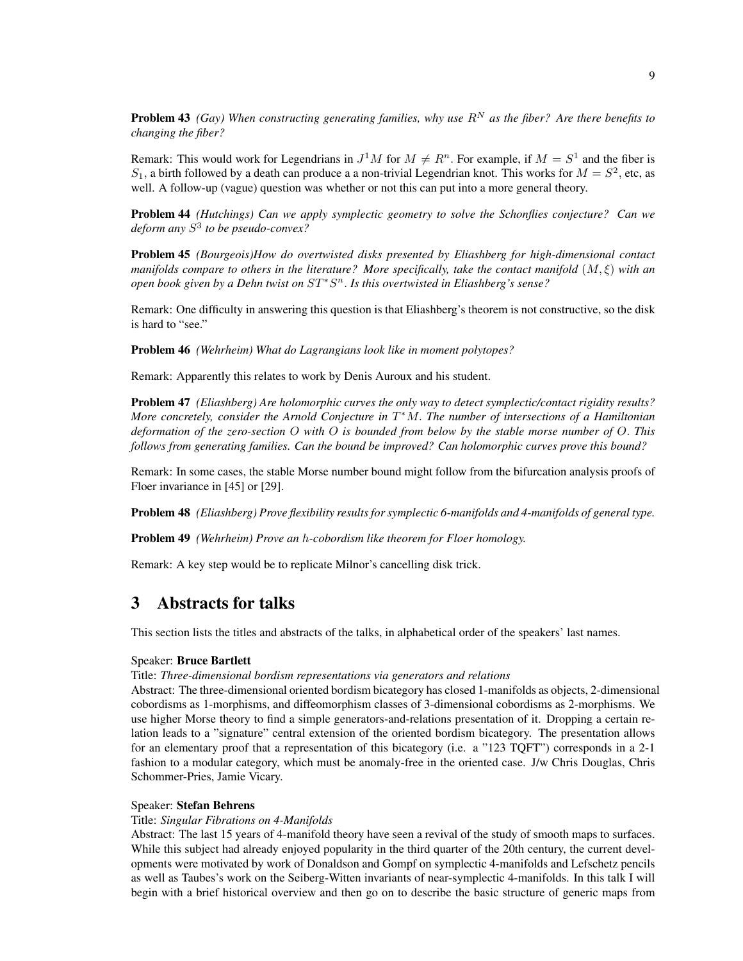**Problem 43** *(Gay) When constructing generating families, why use*  $R^N$  *as the fiber? Are there benefits to changing the fiber?*

Remark: This would work for Legendrians in  $J^1M$  for  $M \neq R^n$ . For example, if  $M = S^1$  and the fiber is  $S_1$ , a birth followed by a death can produce a a non-trivial Legendrian knot. This works for  $M = S^2$ , etc, as well. A follow-up (vague) question was whether or not this can put into a more general theory.

Problem 44 *(Hutchings) Can we apply symplectic geometry to solve the Schonflies conjecture? Can we deform any* S 3 *to be pseudo-convex?*

Problem 45 *(Bourgeois)How do overtwisted disks presented by Eliashberg for high-dimensional contact manifolds compare to others in the literature? More specifically, take the contact manifold* (M, ξ) *with an* open book given by a Dehn twist on  $ST^*S^n$ . *Is this overtwisted in Eliashberg's sense*?

Remark: One difficulty in answering this question is that Eliashberg's theorem is not constructive, so the disk is hard to "see."

Problem 46 *(Wehrheim) What do Lagrangians look like in moment polytopes?*

Remark: Apparently this relates to work by Denis Auroux and his student.

Problem 47 *(Eliashberg) Are holomorphic curves the only way to detect symplectic/contact rigidity results? More concretely, consider the Arnold Conjecture in* T <sup>∗</sup>M. *The number of intersections of a Hamiltonian deformation of the zero-section* O *with* O *is bounded from below by the stable morse number of* O. *This follows from generating families. Can the bound be improved? Can holomorphic curves prove this bound?*

Remark: In some cases, the stable Morse number bound might follow from the bifurcation analysis proofs of Floer invariance in [45] or [29].

Problem 48 *(Eliashberg) Prove flexibility results for symplectic 6-manifolds and 4-manifolds of general type.*

Problem 49 *(Wehrheim) Prove an* h*-cobordism like theorem for Floer homology.*

Remark: A key step would be to replicate Milnor's cancelling disk trick.

# 3 Abstracts for talks

This section lists the titles and abstracts of the talks, in alphabetical order of the speakers' last names.

#### Speaker: Bruce Bartlett

Title: *Three-dimensional bordism representations via generators and relations*

Abstract: The three-dimensional oriented bordism bicategory has closed 1-manifolds as objects, 2-dimensional cobordisms as 1-morphisms, and diffeomorphism classes of 3-dimensional cobordisms as 2-morphisms. We use higher Morse theory to find a simple generators-and-relations presentation of it. Dropping a certain relation leads to a "signature" central extension of the oriented bordism bicategory. The presentation allows for an elementary proof that a representation of this bicategory (i.e. a "123 TQFT") corresponds in a 2-1 fashion to a modular category, which must be anomaly-free in the oriented case. J/w Chris Douglas, Chris Schommer-Pries, Jamie Vicary.

#### Speaker: Stefan Behrens

#### Title: *Singular Fibrations on 4-Manifolds*

Abstract: The last 15 years of 4-manifold theory have seen a revival of the study of smooth maps to surfaces. While this subject had already enjoyed popularity in the third quarter of the 20th century, the current developments were motivated by work of Donaldson and Gompf on symplectic 4-manifolds and Lefschetz pencils as well as Taubes's work on the Seiberg-Witten invariants of near-symplectic 4-manifolds. In this talk I will begin with a brief historical overview and then go on to describe the basic structure of generic maps from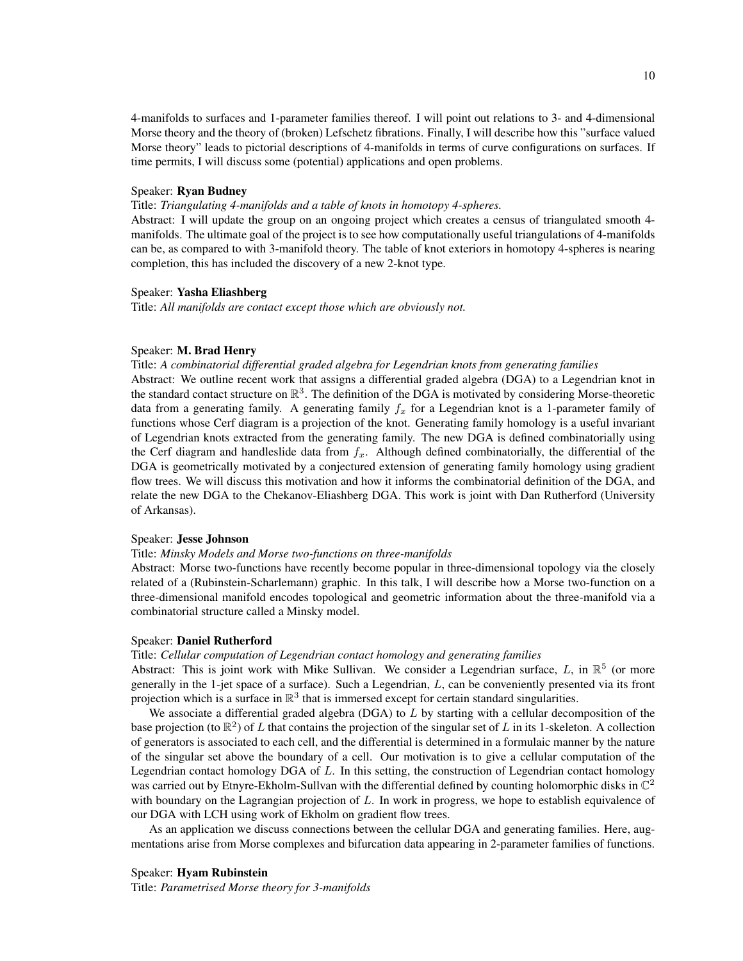4-manifolds to surfaces and 1-parameter families thereof. I will point out relations to 3- and 4-dimensional Morse theory and the theory of (broken) Lefschetz fibrations. Finally, I will describe how this "surface valued Morse theory" leads to pictorial descriptions of 4-manifolds in terms of curve configurations on surfaces. If time permits, I will discuss some (potential) applications and open problems.

#### Speaker: Ryan Budney

#### Title: *Triangulating 4-manifolds and a table of knots in homotopy 4-spheres.*

Abstract: I will update the group on an ongoing project which creates a census of triangulated smooth 4 manifolds. The ultimate goal of the project is to see how computationally useful triangulations of 4-manifolds can be, as compared to with 3-manifold theory. The table of knot exteriors in homotopy 4-spheres is nearing completion, this has included the discovery of a new 2-knot type.

#### Speaker: Yasha Eliashberg

Title: *All manifolds are contact except those which are obviously not.*

#### Speaker: M. Brad Henry

Title: *A combinatorial differential graded algebra for Legendrian knots from generating families*

Abstract: We outline recent work that assigns a differential graded algebra (DGA) to a Legendrian knot in the standard contact structure on  $\mathbb{R}^3$ . The definition of the DGA is motivated by considering Morse-theoretic data from a generating family. A generating family  $f_x$  for a Legendrian knot is a 1-parameter family of functions whose Cerf diagram is a projection of the knot. Generating family homology is a useful invariant of Legendrian knots extracted from the generating family. The new DGA is defined combinatorially using the Cerf diagram and handleslide data from  $f_x$ . Although defined combinatorially, the differential of the DGA is geometrically motivated by a conjectured extension of generating family homology using gradient flow trees. We will discuss this motivation and how it informs the combinatorial definition of the DGA, and relate the new DGA to the Chekanov-Eliashberg DGA. This work is joint with Dan Rutherford (University of Arkansas).

#### Speaker: Jesse Johnson

#### Title: *Minsky Models and Morse two-functions on three-manifolds*

Abstract: Morse two-functions have recently become popular in three-dimensional topology via the closely related of a (Rubinstein-Scharlemann) graphic. In this talk, I will describe how a Morse two-function on a three-dimensional manifold encodes topological and geometric information about the three-manifold via a combinatorial structure called a Minsky model.

#### Speaker: Daniel Rutherford

#### Title: *Cellular computation of Legendrian contact homology and generating families*

Abstract: This is joint work with Mike Sullivan. We consider a Legendrian surface, L, in  $\mathbb{R}^5$  (or more generally in the 1-jet space of a surface). Such a Legendrian, L, can be conveniently presented via its front projection which is a surface in  $\mathbb{R}^3$  that is immersed except for certain standard singularities.

We associate a differential graded algebra (DGA) to L by starting with a cellular decomposition of the base projection (to  $\mathbb{R}^2$ ) of L that contains the projection of the singular set of L in its 1-skeleton. A collection of generators is associated to each cell, and the differential is determined in a formulaic manner by the nature of the singular set above the boundary of a cell. Our motivation is to give a cellular computation of the Legendrian contact homology DGA of L. In this setting, the construction of Legendrian contact homology was carried out by Etnyre-Ekholm-Sullvan with the differential defined by counting holomorphic disks in  $\mathbb{C}^2$ with boundary on the Lagrangian projection of L. In work in progress, we hope to establish equivalence of our DGA with LCH using work of Ekholm on gradient flow trees.

As an application we discuss connections between the cellular DGA and generating families. Here, augmentations arise from Morse complexes and bifurcation data appearing in 2-parameter families of functions.

#### Speaker: Hyam Rubinstein

Title: *Parametrised Morse theory for 3-manifolds*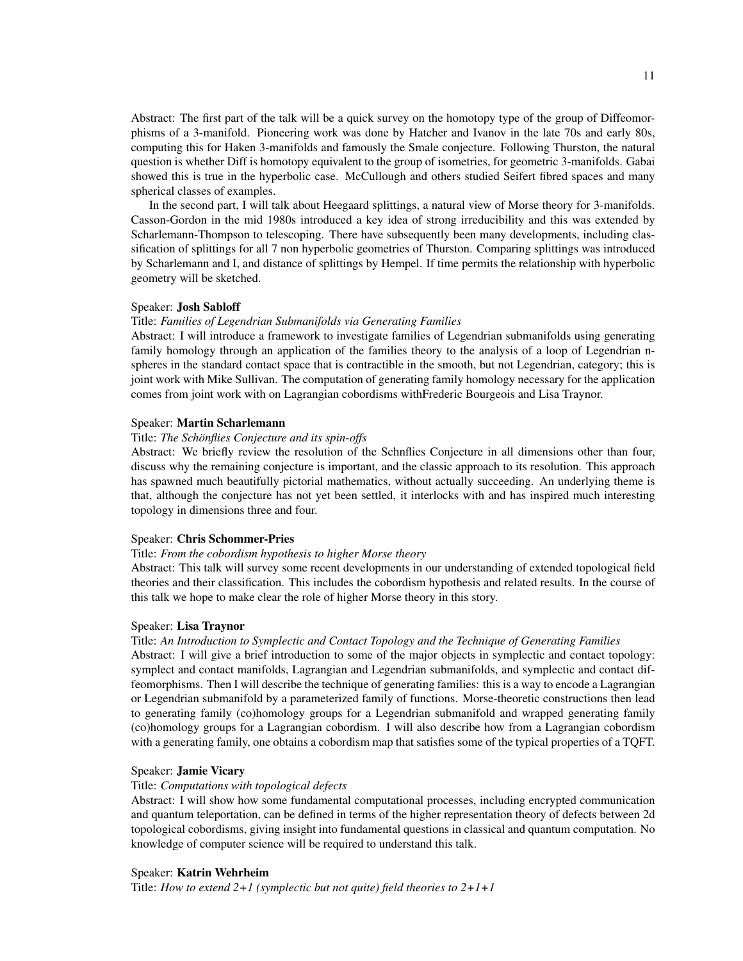Abstract: The first part of the talk will be a quick survey on the homotopy type of the group of Diffeomorphisms of a 3-manifold. Pioneering work was done by Hatcher and Ivanov in the late 70s and early 80s, computing this for Haken 3-manifolds and famously the Smale conjecture. Following Thurston, the natural question is whether Diff is homotopy equivalent to the group of isometries, for geometric 3-manifolds. Gabai showed this is true in the hyperbolic case. McCullough and others studied Seifert fibred spaces and many spherical classes of examples.

In the second part, I will talk about Heegaard splittings, a natural view of Morse theory for 3-manifolds. Casson-Gordon in the mid 1980s introduced a key idea of strong irreducibility and this was extended by Scharlemann-Thompson to telescoping. There have subsequently been many developments, including classification of splittings for all 7 non hyperbolic geometries of Thurston. Comparing splittings was introduced by Scharlemann and I, and distance of splittings by Hempel. If time permits the relationship with hyperbolic geometry will be sketched.

#### Speaker: Josh Sabloff

#### Title: *Families of Legendrian Submanifolds via Generating Families*

Abstract: I will introduce a framework to investigate families of Legendrian submanifolds using generating family homology through an application of the families theory to the analysis of a loop of Legendrian nspheres in the standard contact space that is contractible in the smooth, but not Legendrian, category; this is joint work with Mike Sullivan. The computation of generating family homology necessary for the application comes from joint work with on Lagrangian cobordisms withFrederic Bourgeois and Lisa Traynor.

#### Speaker: Martin Scharlemann

#### Title: *The Schonflies Conjecture and its spin-offs ¨*

Abstract: We briefly review the resolution of the Schnflies Conjecture in all dimensions other than four, discuss why the remaining conjecture is important, and the classic approach to its resolution. This approach has spawned much beautifully pictorial mathematics, without actually succeeding. An underlying theme is that, although the conjecture has not yet been settled, it interlocks with and has inspired much interesting topology in dimensions three and four.

### Speaker: Chris Schommer-Pries

#### Title: *From the cobordism hypothesis to higher Morse theory*

Abstract: This talk will survey some recent developments in our understanding of extended topological field theories and their classification. This includes the cobordism hypothesis and related results. In the course of this talk we hope to make clear the role of higher Morse theory in this story.

#### Speaker: Lisa Traynor

#### Title: *An Introduction to Symplectic and Contact Topology and the Technique of Generating Families*

Abstract: I will give a brief introduction to some of the major objects in symplectic and contact topology: symplect and contact manifolds, Lagrangian and Legendrian submanifolds, and symplectic and contact diffeomorphisms. Then I will describe the technique of generating families: this is a way to encode a Lagrangian or Legendrian submanifold by a parameterized family of functions. Morse-theoretic constructions then lead to generating family (co)homology groups for a Legendrian submanifold and wrapped generating family (co)homology groups for a Lagrangian cobordism. I will also describe how from a Lagrangian cobordism with a generating family, one obtains a cobordism map that satisfies some of the typical properties of a TQFT.

#### Speaker: Jamie Vicary

#### Title: *Computations with topological defects*

Abstract: I will show how some fundamental computational processes, including encrypted communication and quantum teleportation, can be defined in terms of the higher representation theory of defects between 2d topological cobordisms, giving insight into fundamental questions in classical and quantum computation. No knowledge of computer science will be required to understand this talk.

#### Speaker: Katrin Wehrheim

Title: *How to extend 2+1 (symplectic but not quite) field theories to 2+1+1*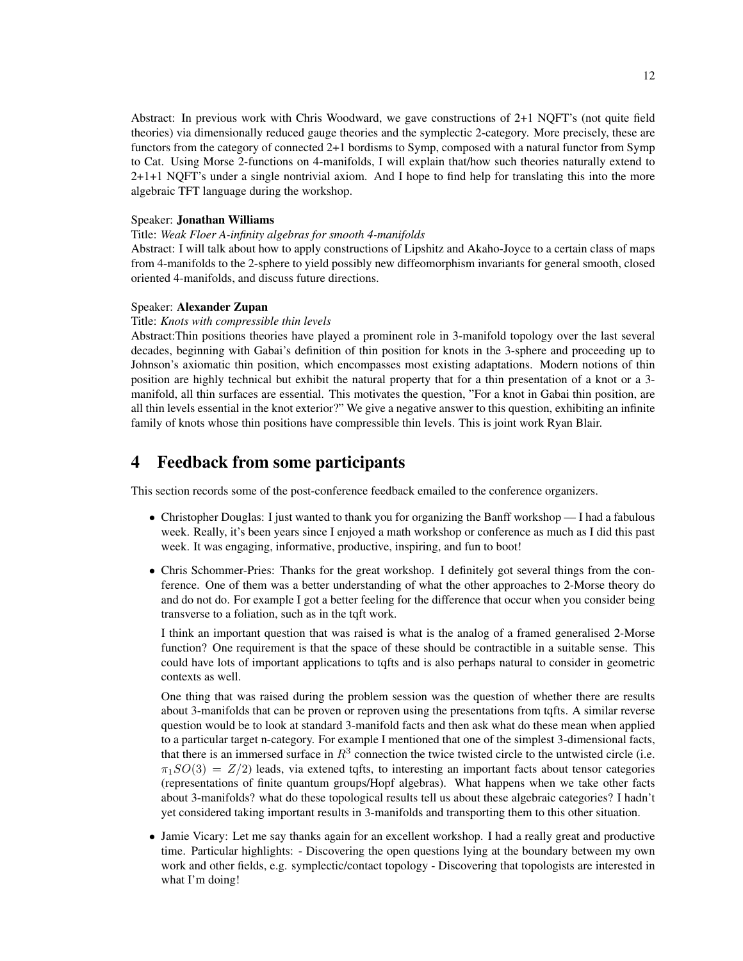Abstract: In previous work with Chris Woodward, we gave constructions of 2+1 NQFT's (not quite field theories) via dimensionally reduced gauge theories and the symplectic 2-category. More precisely, these are functors from the category of connected 2+1 bordisms to Symp, composed with a natural functor from Symp to Cat. Using Morse 2-functions on 4-manifolds, I will explain that/how such theories naturally extend to 2+1+1 NQFT's under a single nontrivial axiom. And I hope to find help for translating this into the more algebraic TFT language during the workshop.

#### Speaker: Jonathan Williams

#### Title: *Weak Floer A-infinity algebras for smooth 4-manifolds*

Abstract: I will talk about how to apply constructions of Lipshitz and Akaho-Joyce to a certain class of maps from 4-manifolds to the 2-sphere to yield possibly new diffeomorphism invariants for general smooth, closed oriented 4-manifolds, and discuss future directions.

#### Speaker: Alexander Zupan

#### Title: *Knots with compressible thin levels*

Abstract:Thin positions theories have played a prominent role in 3-manifold topology over the last several decades, beginning with Gabai's definition of thin position for knots in the 3-sphere and proceeding up to Johnson's axiomatic thin position, which encompasses most existing adaptations. Modern notions of thin position are highly technical but exhibit the natural property that for a thin presentation of a knot or a 3 manifold, all thin surfaces are essential. This motivates the question, "For a knot in Gabai thin position, are all thin levels essential in the knot exterior?" We give a negative answer to this question, exhibiting an infinite family of knots whose thin positions have compressible thin levels. This is joint work Ryan Blair.

### 4 Feedback from some participants

This section records some of the post-conference feedback emailed to the conference organizers.

- Christopher Douglas: I just wanted to thank you for organizing the Banff workshop I had a fabulous week. Really, it's been years since I enjoyed a math workshop or conference as much as I did this past week. It was engaging, informative, productive, inspiring, and fun to boot!
- Chris Schommer-Pries: Thanks for the great workshop. I definitely got several things from the conference. One of them was a better understanding of what the other approaches to 2-Morse theory do and do not do. For example I got a better feeling for the difference that occur when you consider being transverse to a foliation, such as in the tqft work.

I think an important question that was raised is what is the analog of a framed generalised 2-Morse function? One requirement is that the space of these should be contractible in a suitable sense. This could have lots of important applications to tqfts and is also perhaps natural to consider in geometric contexts as well.

One thing that was raised during the problem session was the question of whether there are results about 3-manifolds that can be proven or reproven using the presentations from tqfts. A similar reverse question would be to look at standard 3-manifold facts and then ask what do these mean when applied to a particular target n-category. For example I mentioned that one of the simplest 3-dimensional facts, that there is an immersed surface in  $R<sup>3</sup>$  connection the twice twisted circle to the untwisted circle (i.e.  $\pi_1SO(3) = Z/2$ ) leads, via extened tqfts, to interesting an important facts about tensor categories (representations of finite quantum groups/Hopf algebras). What happens when we take other facts about 3-manifolds? what do these topological results tell us about these algebraic categories? I hadn't yet considered taking important results in 3-manifolds and transporting them to this other situation.

• Jamie Vicary: Let me say thanks again for an excellent workshop. I had a really great and productive time. Particular highlights: - Discovering the open questions lying at the boundary between my own work and other fields, e.g. symplectic/contact topology - Discovering that topologists are interested in what I'm doing!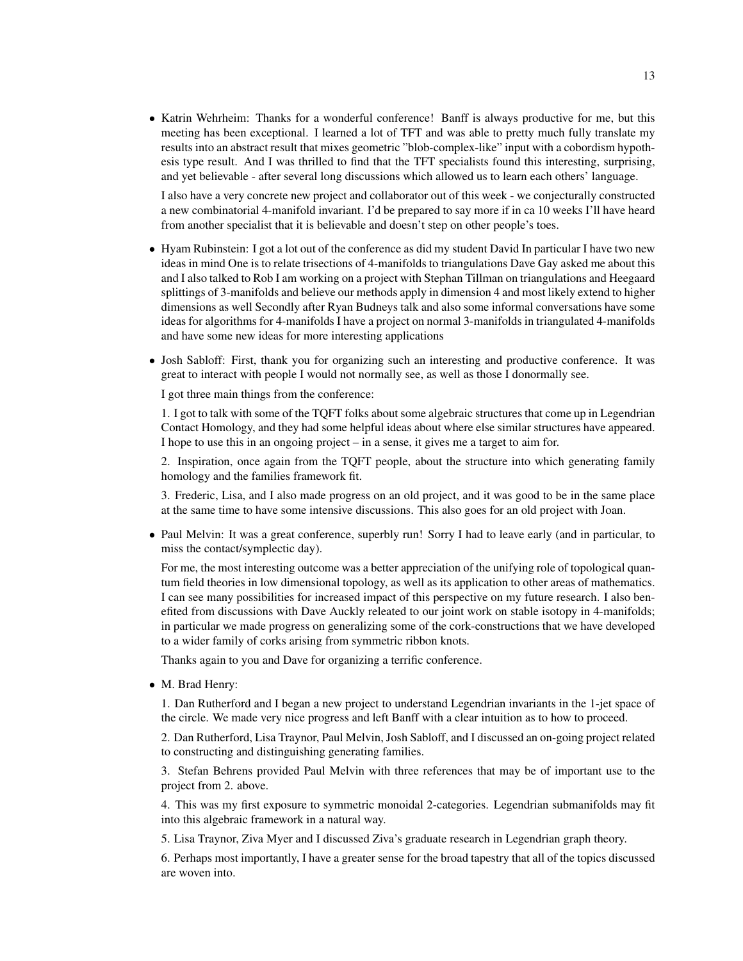• Katrin Wehrheim: Thanks for a wonderful conference! Banff is always productive for me, but this meeting has been exceptional. I learned a lot of TFT and was able to pretty much fully translate my results into an abstract result that mixes geometric "blob-complex-like" input with a cobordism hypothesis type result. And I was thrilled to find that the TFT specialists found this interesting, surprising, and yet believable - after several long discussions which allowed us to learn each others' language.

I also have a very concrete new project and collaborator out of this week - we conjecturally constructed a new combinatorial 4-manifold invariant. I'd be prepared to say more if in ca 10 weeks I'll have heard from another specialist that it is believable and doesn't step on other people's toes.

- Hyam Rubinstein: I got a lot out of the conference as did my student David In particular I have two new ideas in mind One is to relate trisections of 4-manifolds to triangulations Dave Gay asked me about this and I also talked to Rob I am working on a project with Stephan Tillman on triangulations and Heegaard splittings of 3-manifolds and believe our methods apply in dimension 4 and most likely extend to higher dimensions as well Secondly after Ryan Budneys talk and also some informal conversations have some ideas for algorithms for 4-manifolds I have a project on normal 3-manifolds in triangulated 4-manifolds and have some new ideas for more interesting applications
- Josh Sabloff: First, thank you for organizing such an interesting and productive conference. It was great to interact with people I would not normally see, as well as those I donormally see.

I got three main things from the conference:

1. I got to talk with some of the TQFT folks about some algebraic structures that come up in Legendrian Contact Homology, and they had some helpful ideas about where else similar structures have appeared. I hope to use this in an ongoing project – in a sense, it gives me a target to aim for.

2. Inspiration, once again from the TQFT people, about the structure into which generating family homology and the families framework fit.

3. Frederic, Lisa, and I also made progress on an old project, and it was good to be in the same place at the same time to have some intensive discussions. This also goes for an old project with Joan.

• Paul Melvin: It was a great conference, superbly run! Sorry I had to leave early (and in particular, to miss the contact/symplectic day).

For me, the most interesting outcome was a better appreciation of the unifying role of topological quantum field theories in low dimensional topology, as well as its application to other areas of mathematics. I can see many possibilities for increased impact of this perspective on my future research. I also benefited from discussions with Dave Auckly releated to our joint work on stable isotopy in 4-manifolds; in particular we made progress on generalizing some of the cork-constructions that we have developed to a wider family of corks arising from symmetric ribbon knots.

Thanks again to you and Dave for organizing a terrific conference.

• M. Brad Henry:

1. Dan Rutherford and I began a new project to understand Legendrian invariants in the 1-jet space of the circle. We made very nice progress and left Banff with a clear intuition as to how to proceed.

2. Dan Rutherford, Lisa Traynor, Paul Melvin, Josh Sabloff, and I discussed an on-going project related to constructing and distinguishing generating families.

3. Stefan Behrens provided Paul Melvin with three references that may be of important use to the project from 2. above.

4. This was my first exposure to symmetric monoidal 2-categories. Legendrian submanifolds may fit into this algebraic framework in a natural way.

5. Lisa Traynor, Ziva Myer and I discussed Ziva's graduate research in Legendrian graph theory.

6. Perhaps most importantly, I have a greater sense for the broad tapestry that all of the topics discussed are woven into.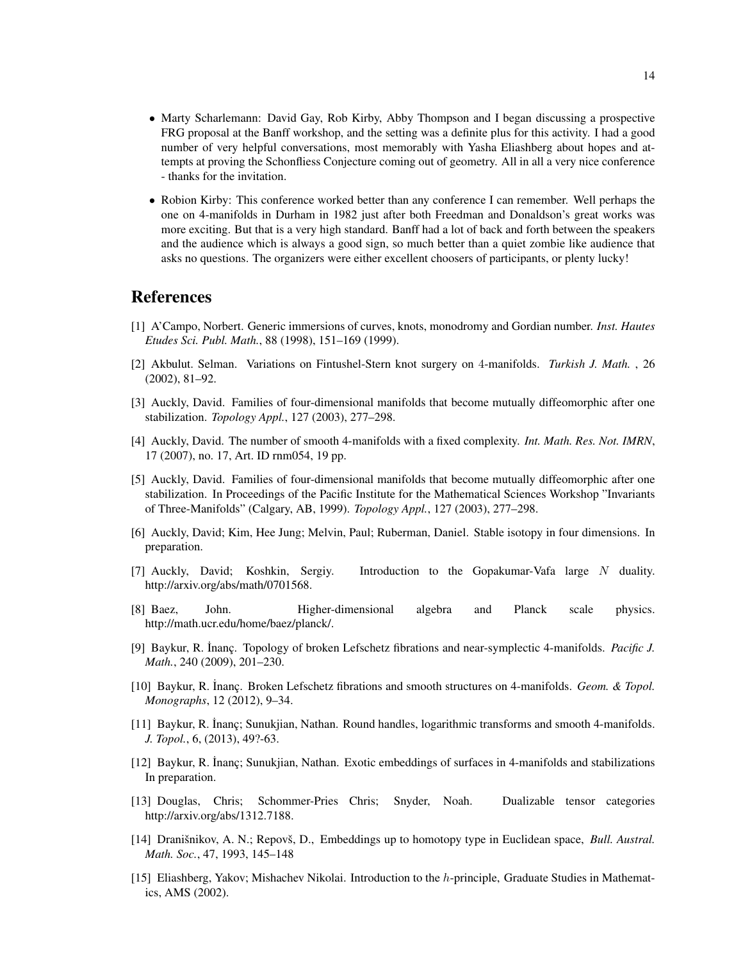- Marty Scharlemann: David Gay, Rob Kirby, Abby Thompson and I began discussing a prospective FRG proposal at the Banff workshop, and the setting was a definite plus for this activity. I had a good number of very helpful conversations, most memorably with Yasha Eliashberg about hopes and attempts at proving the Schonfliess Conjecture coming out of geometry. All in all a very nice conference - thanks for the invitation.
- Robion Kirby: This conference worked better than any conference I can remember. Well perhaps the one on 4-manifolds in Durham in 1982 just after both Freedman and Donaldson's great works was more exciting. But that is a very high standard. Banff had a lot of back and forth between the speakers and the audience which is always a good sign, so much better than a quiet zombie like audience that asks no questions. The organizers were either excellent choosers of participants, or plenty lucky!

## References

- [1] A'Campo, Norbert. Generic immersions of curves, knots, monodromy and Gordian number. *Inst. Hautes Etudes Sci. Publ. Math.*, 88 (1998), 151–169 (1999).
- [2] Akbulut. Selman. Variations on Fintushel-Stern knot surgery on 4-manifolds. *Turkish J. Math.* , 26 (2002), 81–92.
- [3] Auckly, David. Families of four-dimensional manifolds that become mutually diffeomorphic after one stabilization. *Topology Appl.*, 127 (2003), 277–298.
- [4] Auckly, David. The number of smooth 4-manifolds with a fixed complexity. *Int. Math. Res. Not. IMRN*, 17 (2007), no. 17, Art. ID rnm054, 19 pp.
- [5] Auckly, David. Families of four-dimensional manifolds that become mutually diffeomorphic after one stabilization. In Proceedings of the Pacific Institute for the Mathematical Sciences Workshop "Invariants of Three-Manifolds" (Calgary, AB, 1999). *Topology Appl.*, 127 (2003), 277–298.
- [6] Auckly, David; Kim, Hee Jung; Melvin, Paul; Ruberman, Daniel. Stable isotopy in four dimensions. In preparation.
- [7] Auckly, David; Koshkin, Sergiy. Introduction to the Gopakumar-Vafa large N duality. http://arxiv.org/abs/math/0701568.
- [8] Baez, John. Higher-dimensional algebra and Planck scale physics. http://math.ucr.edu/home/baez/planck/.
- [9] Baykur, R. ˙Inanc¸. Topology of broken Lefschetz fibrations and near-symplectic 4-manifolds. *Pacific J. Math.*, 240 (2009), 201–230.
- [10] Baykur, R. ˙Inanc¸. Broken Lefschetz fibrations and smooth structures on 4-manifolds. *Geom. & Topol. Monographs*, 12 (2012), 9–34.
- [11] Baykur, R. İnanc; Sunukjian, Nathan. Round handles, logarithmic transforms and smooth 4-manifolds. *J. Topol.*, 6, (2013), 49?-63.
- [12] Baykur, R. İnanç; Sunukjian, Nathan. Exotic embeddings of surfaces in 4-manifolds and stabilizations In preparation.
- [13] Douglas, Chris; Schommer-Pries Chris; Snyder, Noah. Dualizable tensor categories http://arxiv.org/abs/1312.7188.
- [14] Dranišnikov, A. N.; Repovš, D., Embeddings up to homotopy type in Euclidean space, *Bull. Austral. Math. Soc.*, 47, 1993, 145–148
- [15] Eliashberg, Yakov; Mishachev Nikolai. Introduction to the h-principle, Graduate Studies in Mathematics, AMS (2002).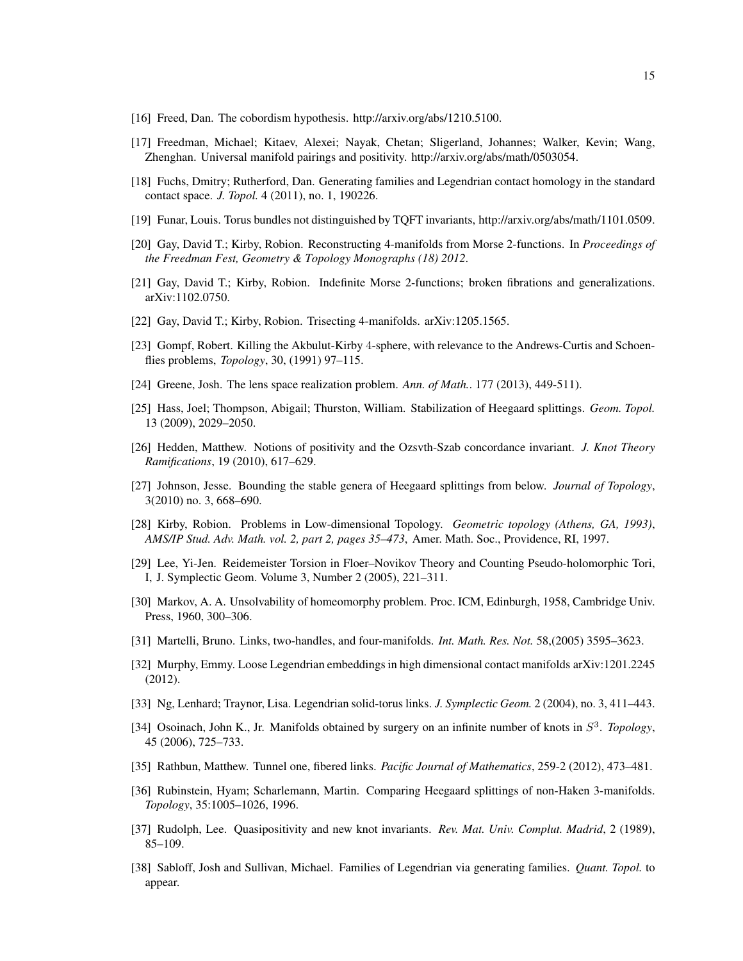- [16] Freed, Dan. The cobordism hypothesis. http://arxiv.org/abs/1210.5100.
- [17] Freedman, Michael; Kitaev, Alexei; Nayak, Chetan; Sligerland, Johannes; Walker, Kevin; Wang, Zhenghan. Universal manifold pairings and positivity. http://arxiv.org/abs/math/0503054.
- [18] Fuchs, Dmitry; Rutherford, Dan. Generating families and Legendrian contact homology in the standard contact space. *J. Topol.* 4 (2011), no. 1, 190226.
- [19] Funar, Louis. Torus bundles not distinguished by TQFT invariants, http://arxiv.org/abs/math/1101.0509.
- [20] Gay, David T.; Kirby, Robion. Reconstructing 4-manifolds from Morse 2-functions. In *Proceedings of the Freedman Fest, Geometry & Topology Monographs (18) 2012*.
- [21] Gay, David T.; Kirby, Robion. Indefinite Morse 2-functions; broken fibrations and generalizations. arXiv:1102.0750.
- [22] Gay, David T.; Kirby, Robion. Trisecting 4-manifolds. arXiv:1205.1565.
- [23] Gompf, Robert. Killing the Akbulut-Kirby 4-sphere, with relevance to the Andrews-Curtis and Schoenflies problems, *Topology*, 30, (1991) 97–115.
- [24] Greene, Josh. The lens space realization problem. *Ann. of Math.*. 177 (2013), 449-511).
- [25] Hass, Joel; Thompson, Abigail; Thurston, William. Stabilization of Heegaard splittings. *Geom. Topol.* 13 (2009), 2029–2050.
- [26] Hedden, Matthew. Notions of positivity and the Ozsvth-Szab concordance invariant. *J. Knot Theory Ramifications*, 19 (2010), 617–629.
- [27] Johnson, Jesse. Bounding the stable genera of Heegaard splittings from below. *Journal of Topology*, 3(2010) no. 3, 668–690.
- [28] Kirby, Robion. Problems in Low-dimensional Topology. *Geometric topology (Athens, GA, 1993)*, *AMS/IP Stud. Adv. Math. vol. 2, part 2, pages 35–473*, Amer. Math. Soc., Providence, RI, 1997.
- [29] Lee, Yi-Jen. Reidemeister Torsion in Floer–Novikov Theory and Counting Pseudo-holomorphic Tori, I, J. Symplectic Geom. Volume 3, Number 2 (2005), 221–311.
- [30] Markov, A. A. Unsolvability of homeomorphy problem. Proc. ICM, Edinburgh, 1958, Cambridge Univ. Press, 1960, 300–306.
- [31] Martelli, Bruno. Links, two-handles, and four-manifolds. *Int. Math. Res. Not.* 58,(2005) 3595–3623.
- [32] Murphy, Emmy. Loose Legendrian embeddings in high dimensional contact manifolds arXiv:1201.2245 (2012).
- [33] Ng, Lenhard; Traynor, Lisa. Legendrian solid-torus links. *J. Symplectic Geom.* 2 (2004), no. 3, 411–443.
- [34] Osoinach, John K., Jr. Manifolds obtained by surgery on an infinite number of knots in  $S^3$ . *Topology*, 45 (2006), 725–733.
- [35] Rathbun, Matthew. Tunnel one, fibered links. *Pacific Journal of Mathematics*, 259-2 (2012), 473–481.
- [36] Rubinstein, Hyam; Scharlemann, Martin. Comparing Heegaard splittings of non-Haken 3-manifolds. *Topology*, 35:1005–1026, 1996.
- [37] Rudolph, Lee. Quasipositivity and new knot invariants. *Rev. Mat. Univ. Complut. Madrid*, 2 (1989), 85–109.
- [38] Sabloff, Josh and Sullivan, Michael. Families of Legendrian via generating families. *Quant. Topol.* to appear.